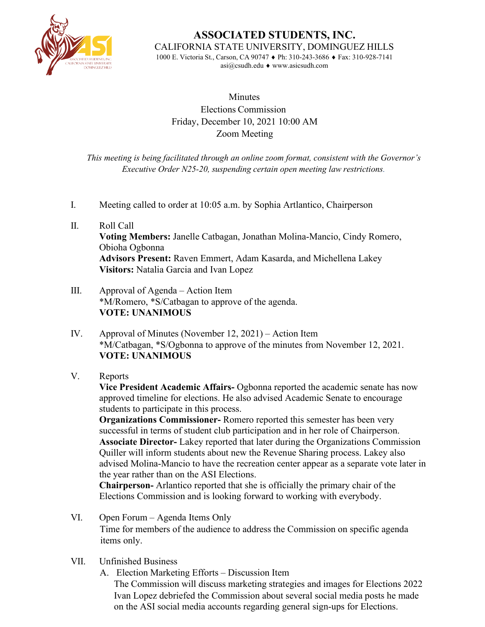

**ASSOCIATED STUDENTS, INC.** CALIFORNIA STATE UNIVERSITY, DOMINGUEZ HILLS 1000 E. Victoria St., Carson, CA 90747 ♦ Ph: 310-243-3686 ♦ Fax: 310-928-7141

[asi@csudh.edu](mailto:asi@csudh.edu) ♦ [www.asicsudh.com](http://www.asicsudh.com/)

## **Minutes** Elections Commission Friday, December 10, 2021 10:00 AM Zoom Meeting

*This meeting is being facilitated through an online zoom format, consistent with the Governor's Executive Order N25-20, suspending certain open meeting law restrictions.*

- I. Meeting called to order at 10:05 a.m. by Sophia Artlantico, Chairperson
- II. Roll Call **Voting Members:** Janelle Catbagan, Jonathan Molina-Mancio, Cindy Romero, Obioha Ogbonna **Advisors Present:** Raven Emmert, Adam Kasarda, and Michellena Lakey **Visitors:** Natalia Garcia and Ivan Lopez
- III. Approval of Agenda Action Item \*M/Romero, \*S/Catbagan to approve of the agenda. **VOTE: UNANIMOUS**
- IV. Approval of Minutes (November 12, 2021) Action Item \*M/Catbagan, \*S/Ogbonna to approve of the minutes from November 12, 2021. **VOTE: UNANIMOUS**
- V. Reports

**Vice President Academic Affairs-** Ogbonna reported the academic senate has now approved timeline for elections. He also advised Academic Senate to encourage students to participate in this process.

**Organizations Commissioner-** Romero reported this semester has been very successful in terms of student club participation and in her role of Chairperson. **Associate Director-** Lakey reported that later during the Organizations Commission Quiller will inform students about new the Revenue Sharing process. Lakey also advised Molina-Mancio to have the recreation center appear as a separate vote later in the year rather than on the ASI Elections.

**Chairperson-** Arlantico reported that she is officially the primary chair of the Elections Commission and is looking forward to working with everybody.

- VI. Open Forum Agenda Items Only Time for members of the audience to address the Commission on specific agenda items only.
- VII. Unfinished Business

A. Election Marketing Efforts – Discussion Item The Commission will discuss marketing strategies and images for Elections 2022 Ivan Lopez debriefed the Commission about several social media posts he made on the ASI social media accounts regarding general sign-ups for Elections.